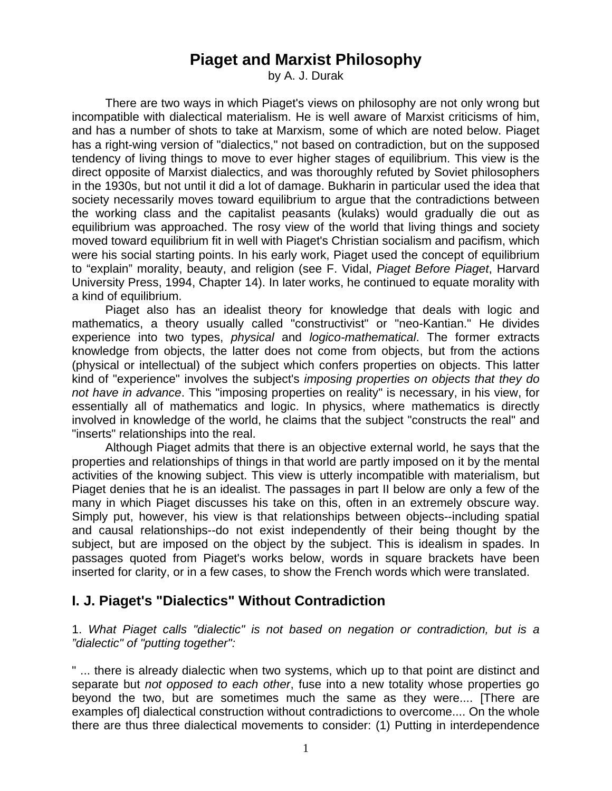# **Piaget and Marxist Philosophy**

by A. J. Durak

 There are two ways in which Piaget's views on philosophy are not only wrong but incompatible with dialectical materialism. He is well aware of Marxist criticisms of him, and has a number of shots to take at Marxism, some of which are noted below. Piaget has a right-wing version of "dialectics," not based on contradiction, but on the supposed tendency of living things to move to ever higher stages of equilibrium. This view is the direct opposite of Marxist dialectics, and was thoroughly refuted by Soviet philosophers in the 1930s, but not until it did a lot of damage. Bukharin in particular used the idea that society necessarily moves toward equilibrium to argue that the contradictions between the working class and the capitalist peasants (kulaks) would gradually die out as equilibrium was approached. The rosy view of the world that living things and society moved toward equilibrium fit in well with Piaget's Christian socialism and pacifism, which were his social starting points. In his early work, Piaget used the concept of equilibrium to "explain" morality, beauty, and religion (see F. Vidal, *Piaget Before Piaget*, Harvard University Press, 1994, Chapter 14). In later works, he continued to equate morality with a kind of equilibrium.

 Piaget also has an idealist theory for knowledge that deals with logic and mathematics, a theory usually called "constructivist" or "neo-Kantian." He divides experience into two types, *physical* and *logico-mathematical*. The former extracts knowledge from objects, the latter does not come from objects, but from the actions (physical or intellectual) of the subject which confers properties on objects. This latter kind of "experience" involves the subject's *imposing properties on objects that they do not have in advance*. This "imposing properties on reality" is necessary, in his view, for essentially all of mathematics and logic. In physics, where mathematics is directly involved in knowledge of the world, he claims that the subject "constructs the real" and "inserts" relationships into the real.

 Although Piaget admits that there is an objective external world, he says that the properties and relationships of things in that world are partly imposed on it by the mental activities of the knowing subject. This view is utterly incompatible with materialism, but Piaget denies that he is an idealist. The passages in part II below are only a few of the many in which Piaget discusses his take on this, often in an extremely obscure way. Simply put, however, his view is that relationships between objects--including spatial and causal relationships--do not exist independently of their being thought by the subject, but are imposed on the object by the subject. This is idealism in spades. In passages quoted from Piaget's works below, words in square brackets have been inserted for clarity, or in a few cases, to show the French words which were translated.

### **I. J. Piaget's "Dialectics" Without Contradiction**

1. *What Piaget calls "dialectic" is not based on negation or contradiction, but is a "dialectic" of "putting together":*

" ... there is already dialectic when two systems, which up to that point are distinct and separate but *not opposed to each other*, fuse into a new totality whose properties go beyond the two, but are sometimes much the same as they were.... [There are examples of dialectical construction without contradictions to overcome.... On the whole there are thus three dialectical movements to consider: (1) Putting in interdependence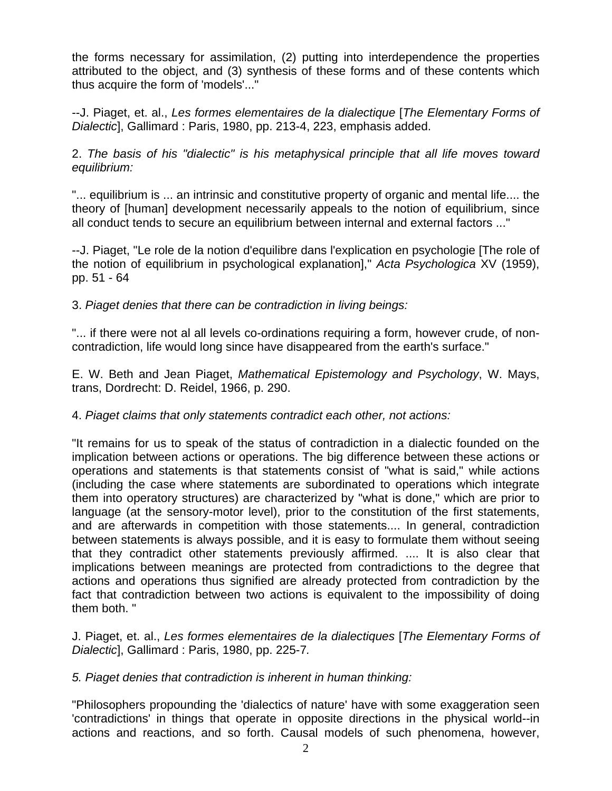the forms necessary for assimilation, (2) putting into interdependence the properties attributed to the object, and (3) synthesis of these forms and of these contents which thus acquire the form of 'models'..."

--J. Piaget, et. al., *Les formes elementaires de la dialectique* [*The Elementary Forms of Dialectic*], Gallimard : Paris, 1980, pp. 213-4, 223, emphasis added.

2. *The basis of his "dialectic" is his metaphysical principle that all life moves toward equilibrium:*

"... equilibrium is ... an intrinsic and constitutive property of organic and mental life.... the theory of [human] development necessarily appeals to the notion of equilibrium, since all conduct tends to secure an equilibrium between internal and external factors ..."

--J. Piaget, "Le role de la notion d'equilibre dans l'explication en psychologie [The role of the notion of equilibrium in psychological explanation]," *Acta Psychologica* XV (1959), pp. 51 - 64

3. *Piaget denies that there can be contradiction in living beings:*

"... if there were not al all levels co-ordinations requiring a form, however crude, of noncontradiction, life would long since have disappeared from the earth's surface."

E. W. Beth and Jean Piaget, *Mathematical Epistemology and Psychology*, W. Mays, trans, Dordrecht: D. Reidel, 1966, p. 290.

4. *Piaget claims that only statements contradict each other, not actions:*

"It remains for us to speak of the status of contradiction in a dialectic founded on the implication between actions or operations. The big difference between these actions or operations and statements is that statements consist of "what is said," while actions (including the case where statements are subordinated to operations which integrate them into operatory structures) are characterized by "what is done," which are prior to language (at the sensory-motor level), prior to the constitution of the first statements, and are afterwards in competition with those statements.... In general, contradiction between statements is always possible, and it is easy to formulate them without seeing that they contradict other statements previously affirmed. .... It is also clear that implications between meanings are protected from contradictions to the degree that actions and operations thus signified are already protected from contradiction by the fact that contradiction between two actions is equivalent to the impossibility of doing them both. "

J. Piaget, et. al., *Les formes elementaires de la dialectiques* [*The Elementary Forms of Dialectic*], Gallimard : Paris, 1980, pp. 225-7*.*

### *5. Piaget denies that contradiction is inherent in human thinking:*

"Philosophers propounding the 'dialectics of nature' have with some exaggeration seen 'contradictions' in things that operate in opposite directions in the physical world--in actions and reactions, and so forth. Causal models of such phenomena, however,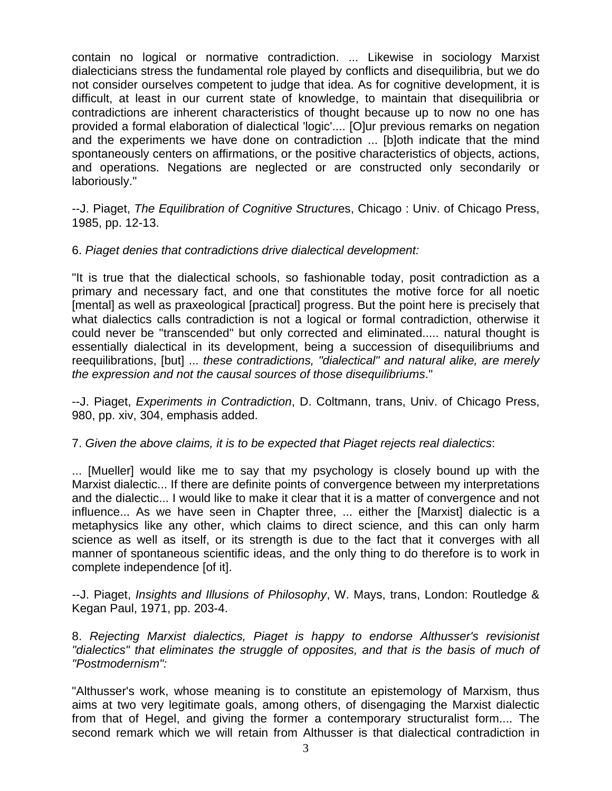contain no logical or normative contradiction. ... Likewise in sociology Marxist dialecticians stress the fundamental role played by conflicts and disequilibria, but we do not consider ourselves competent to judge that idea. As for cognitive development, it is difficult, at least in our current state of knowledge, to maintain that disequilibria or contradictions are inherent characteristics of thought because up to now no one has provided a formal elaboration of dialectical 'logic'.... [O]ur previous remarks on negation and the experiments we have done on contradiction ... [b]oth indicate that the mind spontaneously centers on affirmations, or the positive characteristics of objects, actions, and operations. Negations are neglected or are constructed only secondarily or laboriously."

--J. Piaget, *The Equilibration of Cognitive Structur*es, Chicago : Univ. of Chicago Press, 1985, pp. 12-13.

6. *Piaget denies that contradictions drive dialectical development:*

"It is true that the dialectical schools, so fashionable today, posit contradiction as a primary and necessary fact, and one that constitutes the motive force for all noetic [mental] as well as praxeological [practical] progress. But the point here is precisely that what dialectics calls contradiction is not a logical or formal contradiction, otherwise it could never be "transcended" but only corrected and eliminated..... natural thought is essentially dialectical in its development, being a succession of disequilibriums and reequilibrations, [but] ... *these contradictions, "dialectical" and natural alike, are merely the expression and not the causal sources of those disequilibriums*."

--J. Piaget, *Experiments in Contradiction*, D. Coltmann, trans, Univ. of Chicago Press, 980, pp. xiv, 304, emphasis added.

### 7. *Given the above claims, it is to be expected that Piaget rejects real dialectics*:

... [Mueller] would like me to say that my psychology is closely bound up with the Marxist dialectic... If there are definite points of convergence between my interpretations and the dialectic... I would like to make it clear that it is a matter of convergence and not influence... As we have seen in Chapter three, ... either the [Marxist] dialectic is a metaphysics like any other, which claims to direct science, and this can only harm science as well as itself, or its strength is due to the fact that it converges with all manner of spontaneous scientific ideas, and the only thing to do therefore is to work in complete independence [of it].

*--*J. Piaget, *Insights and Illusions of Philosophy*, W. Mays, trans, London: Routledge & Kegan Paul, 1971, pp. 203-4.

8. *Rejecting Marxist dialectics, Piaget is happy to endorse Althusser's revisionist "dialectics" that eliminates the struggle of opposites, and that is the basis of much of "Postmodernism":*

"Althusser's work, whose meaning is to constitute an epistemology of Marxism, thus aims at two very legitimate goals, among others, of disengaging the Marxist dialectic from that of Hegel, and giving the former a contemporary structuralist form.... The second remark which we will retain from Althusser is that dialectical contradiction in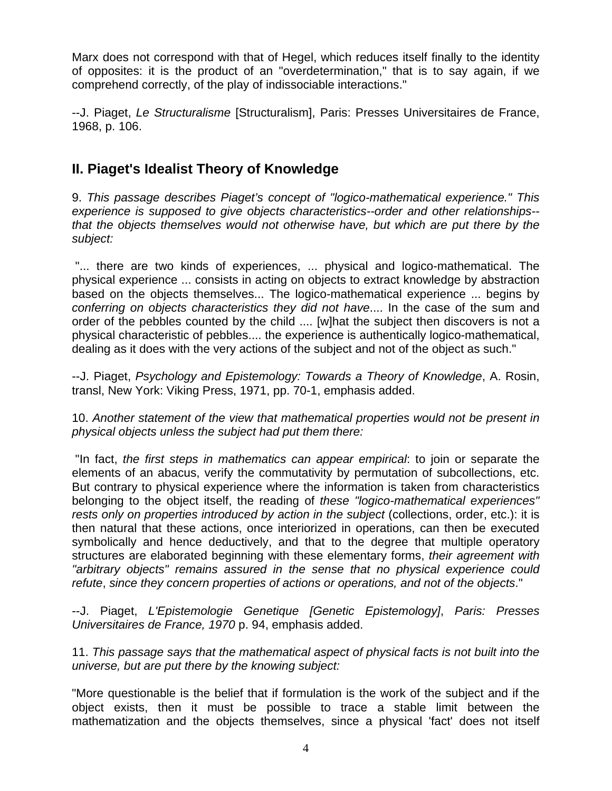Marx does not correspond with that of Hegel, which reduces itself finally to the identity of opposites: it is the product of an "overdetermination," that is to say again, if we comprehend correctly, of the play of indissociable interactions."

--J. Piaget, *Le Structuralisme* [Structuralism], Paris: Presses Universitaires de France, 1968, p. 106.

# **II. Piaget's Idealist Theory of Knowledge**

9. *This passage describes Piaget's concept of "logico-mathematical experience." This experience is supposed to give objects characteristics--order and other relationships- that the objects themselves would not otherwise have, but which are put there by the subject:*

 "... there are two kinds of experiences, ... physical and logico-mathematical. The physical experience ... consists in acting on objects to extract knowledge by abstraction based on the objects themselves... The logico-mathematical experience ... begins by *conferring on objects characteristics they did not have*.... In the case of the sum and order of the pebbles counted by the child .... [w]hat the subject then discovers is not a physical characteristic of pebbles.... the experience is authentically logico-mathematical, dealing as it does with the very actions of the subject and not of the object as such."

--J. Piaget, *Psychology and Epistemology: Towards a Theory of Knowledge*, A. Rosin, transl, New York: Viking Press, 1971, pp. 70-1, emphasis added.

10. *Another statement of the view that mathematical properties would not be present in physical objects unless the subject had put them there:*

 "In fact, *the first steps in mathematics can appear empirical*: to join or separate the elements of an abacus, verify the commutativity by permutation of subcollections, etc. But contrary to physical experience where the information is taken from characteristics belonging to the object itself, the reading of *these "logico-mathematical experiences" rests only on properties introduced by action in the subject* (collections, order, etc.): it is then natural that these actions, once interiorized in operations, can then be executed symbolically and hence deductively, and that to the degree that multiple operatory structures are elaborated beginning with these elementary forms, *their agreement with "arbitrary objects" remains assured in the sense that no physical experience could refute*, *since they concern properties of actions or operations, and not of the objects*."

--J. Piaget, *L'Epistemologie Genetique [Genetic Epistemology]*, *Paris: Presses Universitaires de France, 1970* p. 94, emphasis added.

11. *This passage says that the mathematical aspect of physical facts is not built into the universe, but are put there by the knowing subject:*

"More questionable is the belief that if formulation is the work of the subject and if the object exists, then it must be possible to trace a stable limit between the mathematization and the objects themselves, since a physical 'fact' does not itself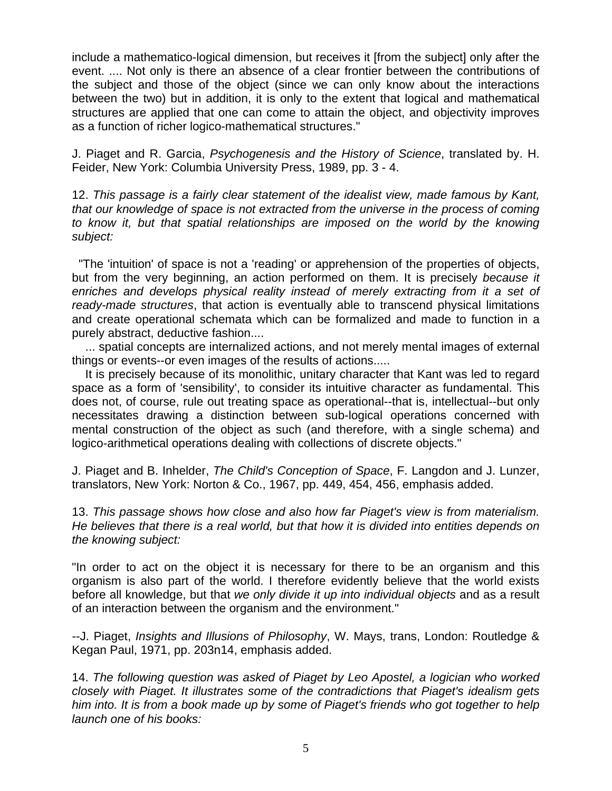include a mathematico-logical dimension, but receives it [from the subject] only after the event. .... Not only is there an absence of a clear frontier between the contributions of the subject and those of the object (since we can only know about the interactions between the two) but in addition, it is only to the extent that logical and mathematical structures are applied that one can come to attain the object, and objectivity improves as a function of richer logico-mathematical structures."

J. Piaget and R. Garcia, *Psychogenesis and the History of Science*, translated by. H. Feider, New York: Columbia University Press, 1989, pp. 3 - 4.

12. *This passage is a fairly clear statement of the idealist view, made famous by Kant, that our knowledge of space is not extracted from the universe in the process of coming to know it, but that spatial relationships are imposed on the world by the knowing subject:*

 "The 'intuition' of space is not a 'reading' or apprehension of the properties of objects, but from the very beginning, an action performed on them. It is precisely *because it*  enriches and develops physical reality instead of merely extracting from it a set of *ready-made structures*, that action is eventually able to transcend physical limitations and create operational schemata which can be formalized and made to function in a purely abstract, deductive fashion....

 ... spatial concepts are internalized actions, and not merely mental images of external things or events--or even images of the results of actions.....

 It is precisely because of its monolithic, unitary character that Kant was led to regard space as a form of 'sensibility', to consider its intuitive character as fundamental. This does not, of course, rule out treating space as operational--that is, intellectual--but only necessitates drawing a distinction between sub-logical operations concerned with mental construction of the object as such (and therefore, with a single schema) and logico-arithmetical operations dealing with collections of discrete objects."

J. Piaget and B. Inhelder, *The Child's Conception of Space*, F. Langdon and J. Lunzer, translators, New York: Norton & Co., 1967, pp. 449, 454, 456, emphasis added.

13. *This passage shows how close and also how far Piaget's view is from materialism. He believes that there is a real world, but that how it is divided into entities depends on the knowing subject:*

"In order to act on the object it is necessary for there to be an organism and this organism is also part of the world. I therefore evidently believe that the world exists before all knowledge, but that *we only divide it up into individual objects* and as a result of an interaction between the organism and the environment."

*--*J. Piaget, *Insights and Illusions of Philosophy*, W. Mays, trans, London: Routledge & Kegan Paul, 1971, pp. 203n14, emphasis added.

14. *The following question was asked of Piaget by Leo Apostel, a logician who worked closely with Piaget. It illustrates some of the contradictions that Piaget's idealism gets him into. It is from a book made up by some of Piaget's friends who got together to help launch one of his books:*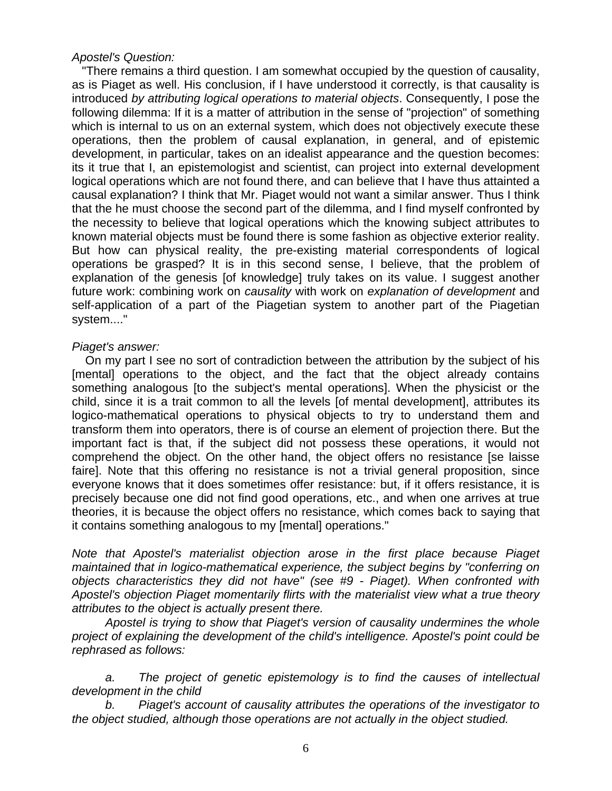#### *Apostel's Question:*

 "There remains a third question. I am somewhat occupied by the question of causality, as is Piaget as well. His conclusion, if I have understood it correctly, is that causality is introduced *by attributing logical operations to material objects*. Consequently, I pose the following dilemma: If it is a matter of attribution in the sense of "projection" of something which is internal to us on an external system, which does not objectively execute these operations, then the problem of causal explanation, in general, and of epistemic development, in particular, takes on an idealist appearance and the question becomes: its it true that I, an epistemologist and scientist, can project into external development logical operations which are not found there, and can believe that I have thus attainted a causal explanation? I think that Mr. Piaget would not want a similar answer. Thus I think that the he must choose the second part of the dilemma, and I find myself confronted by the necessity to believe that logical operations which the knowing subject attributes to known material objects must be found there is some fashion as objective exterior reality. But how can physical reality, the pre-existing material correspondents of logical operations be grasped? It is in this second sense, I believe, that the problem of explanation of the genesis [of knowledge] truly takes on its value. I suggest another future work: combining work on *causality* with work on *explanation of development* and self-application of a part of the Piagetian system to another part of the Piagetian system...."

#### *Piaget's answer:*

 On my part I see no sort of contradiction between the attribution by the subject of his [mental] operations to the object, and the fact that the object already contains something analogous [to the subject's mental operations]. When the physicist or the child, since it is a trait common to all the levels [of mental development], attributes its logico-mathematical operations to physical objects to try to understand them and transform them into operators, there is of course an element of projection there. But the important fact is that, if the subject did not possess these operations, it would not comprehend the object. On the other hand, the object offers no resistance [se laisse faire]. Note that this offering no resistance is not a trivial general proposition, since everyone knows that it does sometimes offer resistance: but, if it offers resistance, it is precisely because one did not find good operations, etc., and when one arrives at true theories, it is because the object offers no resistance, which comes back to saying that it contains something analogous to my [mental] operations."

*Note that Apostel's materialist objection arose in the first place because Piaget maintained that in logico-mathematical experience, the subject begins by "conferring on objects characteristics they did not have" (see #9 - Piaget). When confronted with Apostel's objection Piaget momentarily flirts with the materialist view what a true theory attributes to the object is actually present there.* 

 *Apostel is trying to show that Piaget's version of causality undermines the whole project of explaining the development of the child's intelligence. Apostel's point could be rephrased as follows:*

 *a. The project of genetic epistemology is to find the causes of intellectual development in the child*

 *b. Piaget's account of causality attributes the operations of the investigator to the object studied, although those operations are not actually in the object studied.*